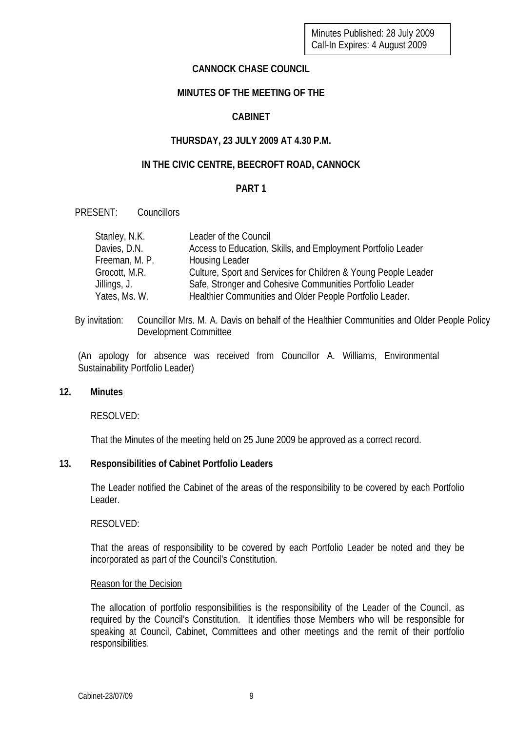## **CANNOCK CHASE COUNCIL**

# **MINUTES OF THE MEETING OF THE**

# **CABINET**

# **THURSDAY, 23 JULY 2009 AT 4.30 P.M.**

# **IN THE CIVIC CENTRE, BEECROFT ROAD, CANNOCK**

## **PART 1**

PRESENT: Councillors

| Stanley, N.K.  | Leader of the Council                                          |
|----------------|----------------------------------------------------------------|
| Davies, D.N.   | Access to Education, Skills, and Employment Portfolio Leader   |
| Freeman, M. P. | Housing Leader                                                 |
| Grocott, M.R.  | Culture, Sport and Services for Children & Young People Leader |
| Jillings, J.   | Safe, Stronger and Cohesive Communities Portfolio Leader       |
| Yates, Ms. W.  | Healthier Communities and Older People Portfolio Leader.       |

By invitation: Councillor Mrs. M. A. Davis on behalf of the Healthier Communities and Older People Policy Development Committee

(An apology for absence was received from Councillor A. Williams, Environmental Sustainability Portfolio Leader)

#### **12. Minutes**

RESOLVED:

That the Minutes of the meeting held on 25 June 2009 be approved as a correct record.

## **13. Responsibilities of Cabinet Portfolio Leaders**

The Leader notified the Cabinet of the areas of the responsibility to be covered by each Portfolio Leader.

RESOLVED:

That the areas of responsibility to be covered by each Portfolio Leader be noted and they be incorporated as part of the Council's Constitution.

#### Reason for the Decision

The allocation of portfolio responsibilities is the responsibility of the Leader of the Council, as required by the Council's Constitution. It identifies those Members who will be responsible for speaking at Council, Cabinet, Committees and other meetings and the remit of their portfolio responsibilities.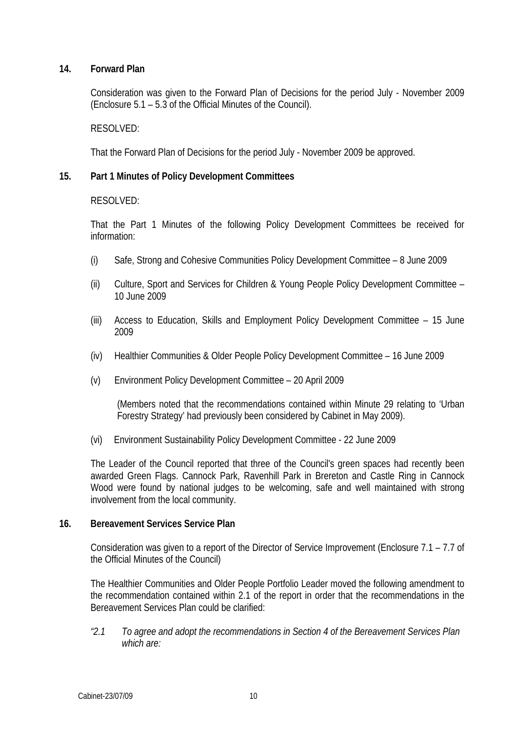## **14. Forward Plan**

Consideration was given to the Forward Plan of Decisions for the period July - November 2009 (Enclosure 5.1 – 5.3 of the Official Minutes of the Council).

#### RESOLVED:

That the Forward Plan of Decisions for the period July - November 2009 be approved.

## **15. Part 1 Minutes of Policy Development Committees**

## RESOLVED:

That the Part 1 Minutes of the following Policy Development Committees be received for information:

- (i) Safe, Strong and Cohesive Communities Policy Development Committee 8 June 2009
- (ii) Culture, Sport and Services for Children & Young People Policy Development Committee 10 June 2009
- (iii) Access to Education, Skills and Employment Policy Development Committee 15 June 2009
- (iv) Healthier Communities & Older People Policy Development Committee 16 June 2009
- (v) Environment Policy Development Committee 20 April 2009

(Members noted that the recommendations contained within Minute 29 relating to 'Urban Forestry Strategy' had previously been considered by Cabinet in May 2009).

(vi) Environment Sustainability Policy Development Committee - 22 June 2009

The Leader of the Council reported that three of the Council's green spaces had recently been awarded Green Flags. Cannock Park, Ravenhill Park in Brereton and Castle Ring in Cannock Wood were found by national judges to be welcoming, safe and well maintained with strong involvement from the local community.

#### **16. Bereavement Services Service Plan**

Consideration was given to a report of the Director of Service Improvement (Enclosure 7.1 – 7.7 of the Official Minutes of the Council)

The Healthier Communities and Older People Portfolio Leader moved the following amendment to the recommendation contained within 2.1 of the report in order that the recommendations in the Bereavement Services Plan could be clarified:

*"2.1 To agree and adopt the recommendations in Section 4 of the Bereavement Services Plan which are:*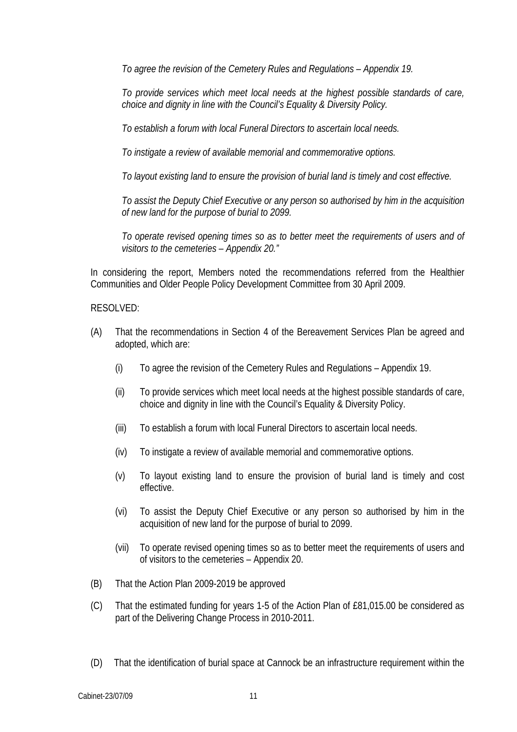*To agree the revision of the Cemetery Rules and Regulations – Appendix 19.* 

*To provide services which meet local needs at the highest possible standards of care, choice and dignity in line with the Council's Equality & Diversity Policy.* 

*To establish a forum with local Funeral Directors to ascertain local needs.* 

*To instigate a review of available memorial and commemorative options.* 

*To layout existing land to ensure the provision of burial land is timely and cost effective.* 

*To assist the Deputy Chief Executive or any person so authorised by him in the acquisition of new land for the purpose of burial to 2099.* 

*To operate revised opening times so as to better meet the requirements of users and of visitors to the cemeteries – Appendix 20."* 

In considering the report, Members noted the recommendations referred from the Healthier Communities and Older People Policy Development Committee from 30 April 2009.

## RESOLVED:

- (A) That the recommendations in Section 4 of the Bereavement Services Plan be agreed and adopted, which are:
	- (i) To agree the revision of the Cemetery Rules and Regulations Appendix 19.
	- (ii) To provide services which meet local needs at the highest possible standards of care, choice and dignity in line with the Council's Equality & Diversity Policy.
	- (iii) To establish a forum with local Funeral Directors to ascertain local needs.
	- (iv) To instigate a review of available memorial and commemorative options.
	- (v) To layout existing land to ensure the provision of burial land is timely and cost effective.
	- (vi) To assist the Deputy Chief Executive or any person so authorised by him in the acquisition of new land for the purpose of burial to 2099.
	- (vii) To operate revised opening times so as to better meet the requirements of users and of visitors to the cemeteries – Appendix 20.
- (B) That the Action Plan 2009-2019 be approved
- (C) That the estimated funding for years 1-5 of the Action Plan of £81,015.00 be considered as part of the Delivering Change Process in 2010-2011.
- (D) That the identification of burial space at Cannock be an infrastructure requirement within the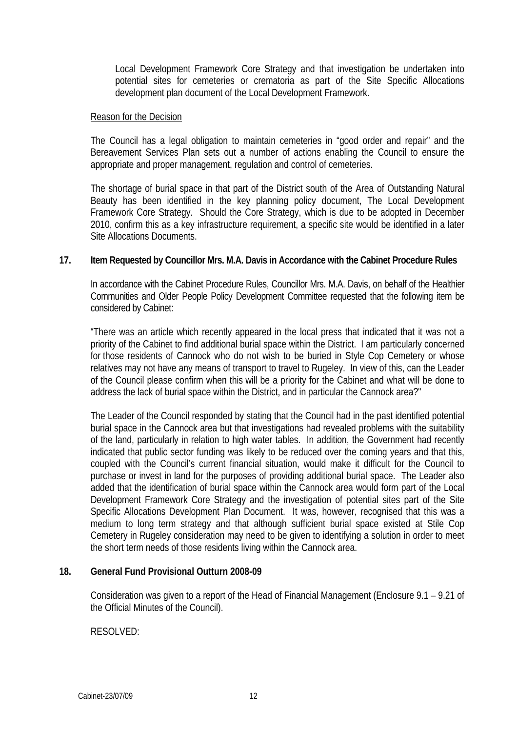Local Development Framework Core Strategy and that investigation be undertaken into potential sites for cemeteries or crematoria as part of the Site Specific Allocations development plan document of the Local Development Framework.

#### Reason for the Decision

The Council has a legal obligation to maintain cemeteries in "good order and repair" and the Bereavement Services Plan sets out a number of actions enabling the Council to ensure the appropriate and proper management, regulation and control of cemeteries.

The shortage of burial space in that part of the District south of the Area of Outstanding Natural Beauty has been identified in the key planning policy document, The Local Development Framework Core Strategy. Should the Core Strategy, which is due to be adopted in December 2010, confirm this as a key infrastructure requirement, a specific site would be identified in a later Site Allocations Documents.

#### **17. Item Requested by Councillor Mrs. M.A. Davis in Accordance with the Cabinet Procedure Rules**

In accordance with the Cabinet Procedure Rules, Councillor Mrs. M.A. Davis, on behalf of the Healthier Communities and Older People Policy Development Committee requested that the following item be considered by Cabinet:

"There was an article which recently appeared in the local press that indicated that it was not a priority of the Cabinet to find additional burial space within the District. I am particularly concerned for those residents of Cannock who do not wish to be buried in Style Cop Cemetery or whose relatives may not have any means of transport to travel to Rugeley. In view of this, can the Leader of the Council please confirm when this will be a priority for the Cabinet and what will be done to address the lack of burial space within the District, and in particular the Cannock area?"

The Leader of the Council responded by stating that the Council had in the past identified potential burial space in the Cannock area but that investigations had revealed problems with the suitability of the land, particularly in relation to high water tables. In addition, the Government had recently indicated that public sector funding was likely to be reduced over the coming years and that this, coupled with the Council's current financial situation, would make it difficult for the Council to purchase or invest in land for the purposes of providing additional burial space. The Leader also added that the identification of burial space within the Cannock area would form part of the Local Development Framework Core Strategy and the investigation of potential sites part of the Site Specific Allocations Development Plan Document. It was, however, recognised that this was a medium to long term strategy and that although sufficient burial space existed at Stile Cop Cemetery in Rugeley consideration may need to be given to identifying a solution in order to meet the short term needs of those residents living within the Cannock area.

#### **18. General Fund Provisional Outturn 2008-09**

Consideration was given to a report of the Head of Financial Management (Enclosure 9.1 – 9.21 of the Official Minutes of the Council).

## RESOLVED: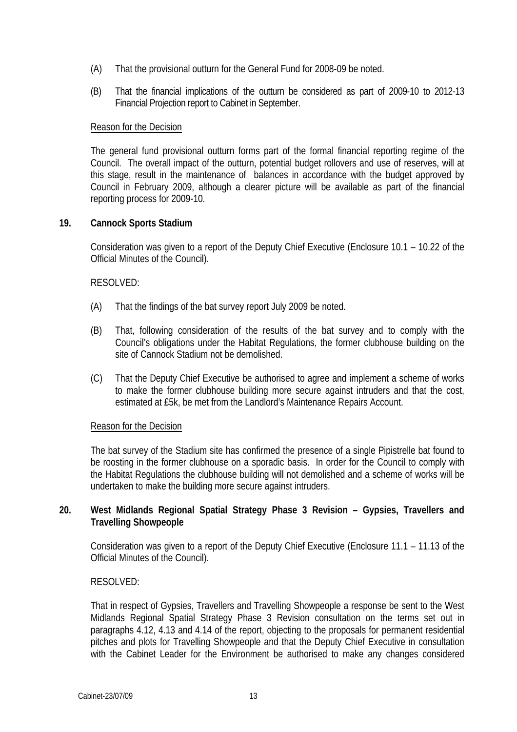- (A) That the provisional outturn for the General Fund for 2008-09 be noted.
- (B) That the financial implications of the outturn be considered as part of 2009-10 to 2012-13 Financial Projection report to Cabinet in September.

#### Reason for the Decision

The general fund provisional outturn forms part of the formal financial reporting regime of the Council. The overall impact of the outturn, potential budget rollovers and use of reserves, will at this stage, result in the maintenance of balances in accordance with the budget approved by Council in February 2009, although a clearer picture will be available as part of the financial reporting process for 2009-10.

#### **19. Cannock Sports Stadium**

Consideration was given to a report of the Deputy Chief Executive (Enclosure 10.1 – 10.22 of the Official Minutes of the Council).

## RESOLVED:

- (A) That the findings of the bat survey report July 2009 be noted.
- (B) That, following consideration of the results of the bat survey and to comply with the Council's obligations under the Habitat Regulations, the former clubhouse building on the site of Cannock Stadium not be demolished.
- (C) That the Deputy Chief Executive be authorised to agree and implement a scheme of works to make the former clubhouse building more secure against intruders and that the cost, estimated at £5k, be met from the Landlord's Maintenance Repairs Account.

#### Reason for the Decision

The bat survey of the Stadium site has confirmed the presence of a single Pipistrelle bat found to be roosting in the former clubhouse on a sporadic basis. In order for the Council to comply with the Habitat Regulations the clubhouse building will not demolished and a scheme of works will be undertaken to make the building more secure against intruders.

## **20. West Midlands Regional Spatial Strategy Phase 3 Revision – Gypsies, Travellers and Travelling Showpeople**

Consideration was given to a report of the Deputy Chief Executive (Enclosure 11.1 – 11.13 of the Official Minutes of the Council).

#### RESOLVED:

That in respect of Gypsies, Travellers and Travelling Showpeople a response be sent to the West Midlands Regional Spatial Strategy Phase 3 Revision consultation on the terms set out in paragraphs 4.12, 4.13 and 4.14 of the report, objecting to the proposals for permanent residential pitches and plots for Travelling Showpeople and that the Deputy Chief Executive in consultation with the Cabinet Leader for the Environment be authorised to make any changes considered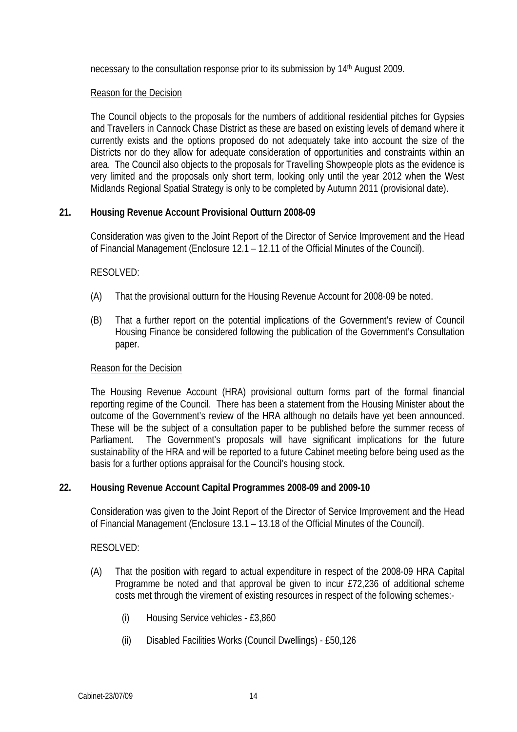necessary to the consultation response prior to its submission by 14th August 2009.

#### Reason for the Decision

The Council objects to the proposals for the numbers of additional residential pitches for Gypsies and Travellers in Cannock Chase District as these are based on existing levels of demand where it currently exists and the options proposed do not adequately take into account the size of the Districts nor do they allow for adequate consideration of opportunities and constraints within an area. The Council also objects to the proposals for Travelling Showpeople plots as the evidence is very limited and the proposals only short term, looking only until the year 2012 when the West Midlands Regional Spatial Strategy is only to be completed by Autumn 2011 (provisional date).

## **21. Housing Revenue Account Provisional Outturn 2008-09**

Consideration was given to the Joint Report of the Director of Service Improvement and the Head of Financial Management (Enclosure 12.1 – 12.11 of the Official Minutes of the Council).

## RESOLVED:

- (A) That the provisional outturn for the Housing Revenue Account for 2008-09 be noted.
- (B) That a further report on the potential implications of the Government's review of Council Housing Finance be considered following the publication of the Government's Consultation paper.

#### Reason for the Decision

The Housing Revenue Account (HRA) provisional outturn forms part of the formal financial reporting regime of the Council. There has been a statement from the Housing Minister about the outcome of the Government's review of the HRA although no details have yet been announced. These will be the subject of a consultation paper to be published before the summer recess of Parliament. The Government's proposals will have significant implications for the future sustainability of the HRA and will be reported to a future Cabinet meeting before being used as the basis for a further options appraisal for the Council's housing stock.

## **22. Housing Revenue Account Capital Programmes 2008-09 and 2009-10**

Consideration was given to the Joint Report of the Director of Service Improvement and the Head of Financial Management (Enclosure 13.1 – 13.18 of the Official Minutes of the Council).

#### RESOLVED:

- (A) That the position with regard to actual expenditure in respect of the 2008-09 HRA Capital Programme be noted and that approval be given to incur £72,236 of additional scheme costs met through the virement of existing resources in respect of the following schemes:-
	- (i) Housing Service vehicles £3,860
	- (ii) Disabled Facilities Works (Council Dwellings) £50,126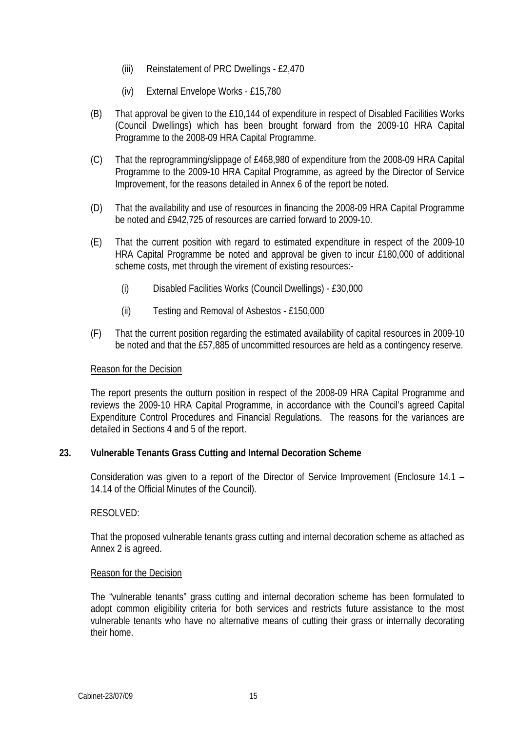- (iii) Reinstatement of PRC Dwellings £2,470
- (iv) External Envelope Works £15,780
- (B) That approval be given to the £10,144 of expenditure in respect of Disabled Facilities Works (Council Dwellings) which has been brought forward from the 2009-10 HRA Capital Programme to the 2008-09 HRA Capital Programme.
- (C) That the reprogramming/slippage of £468,980 of expenditure from the 2008-09 HRA Capital Programme to the 2009-10 HRA Capital Programme, as agreed by the Director of Service Improvement, for the reasons detailed in Annex 6 of the report be noted.
- (D) That the availability and use of resources in financing the 2008-09 HRA Capital Programme be noted and £942,725 of resources are carried forward to 2009-10.
- (E) That the current position with regard to estimated expenditure in respect of the 2009-10 HRA Capital Programme be noted and approval be given to incur £180,000 of additional scheme costs, met through the virement of existing resources:-
	- (i) Disabled Facilities Works (Council Dwellings) £30,000
	- (ii) Testing and Removal of Asbestos £150,000
- (F) That the current position regarding the estimated availability of capital resources in 2009-10 be noted and that the £57,885 of uncommitted resources are held as a contingency reserve.

#### Reason for the Decision

The report presents the outturn position in respect of the 2008-09 HRA Capital Programme and reviews the 2009-10 HRA Capital Programme, in accordance with the Council's agreed Capital Expenditure Control Procedures and Financial Regulations. The reasons for the variances are detailed in Sections 4 and 5 of the report.

#### **23. Vulnerable Tenants Grass Cutting and Internal Decoration Scheme**

Consideration was given to a report of the Director of Service Improvement (Enclosure 14.1 – 14.14 of the Official Minutes of the Council).

#### RESOLVED:

That the proposed vulnerable tenants grass cutting and internal decoration scheme as attached as Annex 2 is agreed.

#### Reason for the Decision

The "vulnerable tenants" grass cutting and internal decoration scheme has been formulated to adopt common eligibility criteria for both services and restricts future assistance to the most vulnerable tenants who have no alternative means of cutting their grass or internally decorating their home.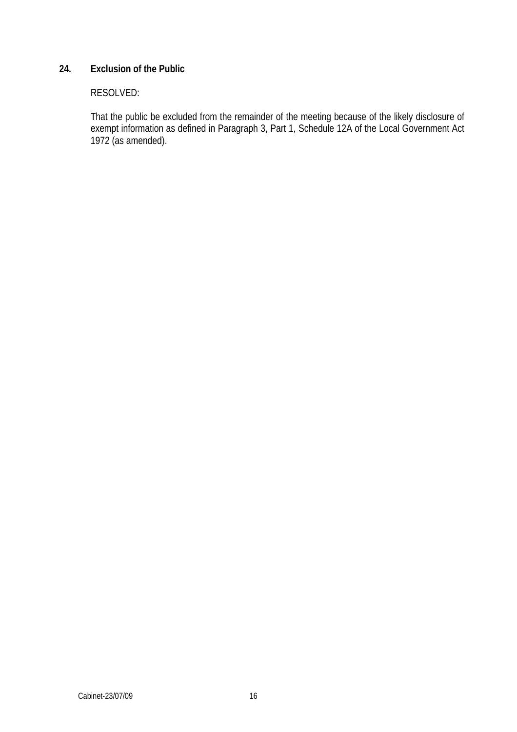# **24. Exclusion of the Public**

# RESOLVED:

That the public be excluded from the remainder of the meeting because of the likely disclosure of exempt information as defined in Paragraph 3, Part 1, Schedule 12A of the Local Government Act 1972 (as amended).